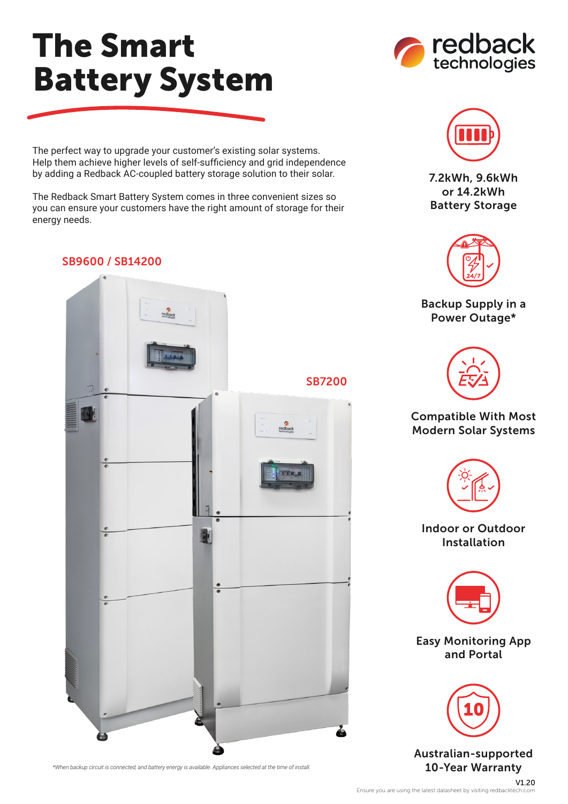## The Smart Battery System

The perfect way to upgrade your customer's existing solar systems. Help them achieve higher levels of self-sufficiency and grid independence by adding a Redback AC-coupled battery storage solution to their solar.

The Redback Smart Battery System comes in three convenient sizes so you can ensure your customers have the right amount of storage for their energy needs.

## SB9600 / SB14200



*\*When backup circuit is connected, and battery energy is available. Appliances selected at the time of install.*





7.2kWh, 9.6kWh or 14.2kWh Battery Storage



Backup Supply in a Power Outage\*



## Compatible With Most Modern Solar Systems



Indoor or Outdoor Installation



Easy Monitoring App and Portal



Australian-supported 10-Year Warranty

V1.20